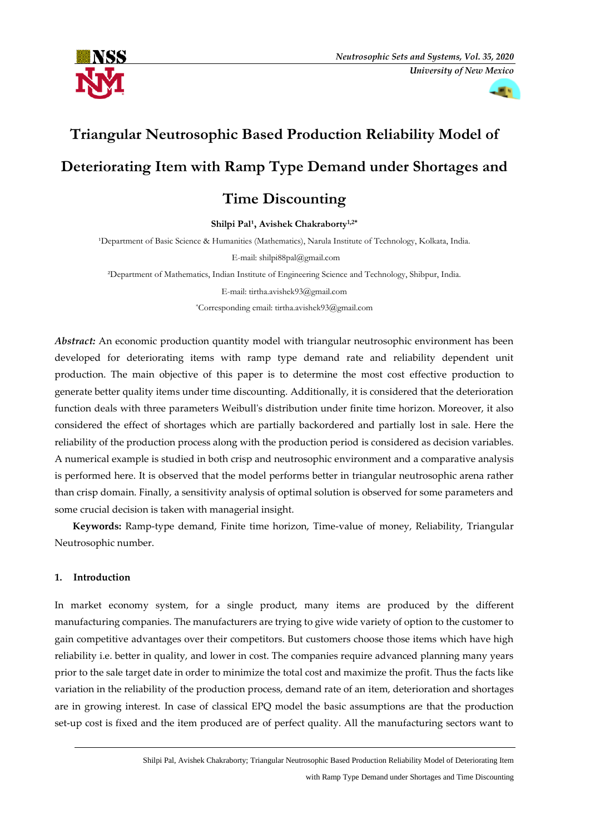

m v

# **Triangular Neutrosophic Based Production Reliability Model of Deteriorating Item with Ramp Type Demand under Shortages and**

# **Time Discounting**

Shilpi Pal<sup>1</sup>, Avishek Chakraborty<sup>1,2\*</sup>

<sup>1</sup>Department of Basic Science & Humanities (Mathematics), Narula Institute of Technology, Kolkata, India.

E-mail: shilpi88pal@gmail.com

²Department of Mathematics, Indian Institute of Engineering Science and Technology, Shibpur, India.

E-mail: tirtha.avishek93@gmail.com

\*Corresponding email: tirtha.avishek93@gmail.com

*Abstract:* An economic production quantity model with triangular neutrosophic environment has been developed for deteriorating items with ramp type demand rate and reliability dependent unit production. The main objective of this paper is to determine the most cost effective production to generate better quality items under time discounting. Additionally, it is considered that the deterioration function deals with three parameters Weibull's distribution under finite time horizon. Moreover, it also considered the effect of shortages which are partially backordered and partially lost in sale. Here the reliability of the production process along with the production period is considered as decision variables. A numerical example is studied in both crisp and neutrosophic environment and a comparative analysis is performed here. It is observed that the model performs better in triangular neutrosophic arena rather than crisp domain. Finally, a sensitivity analysis of optimal solution is observed for some parameters and some crucial decision is taken with managerial insight.

 **Keywords:** Ramp-type demand, Finite time horizon, Time-value of money, Reliability, Triangular Neutrosophic number.

# **1. Introduction**

In market economy system, for a single product, many items are produced by the different manufacturing companies. The manufacturers are trying to give wide variety of option to the customer to gain competitive advantages over their competitors. But customers choose those items which have high reliability i.e. better in quality, and lower in cost. The companies require advanced planning many years prior to the sale target date in order to minimize the total cost and maximize the profit. Thus the facts like variation in the reliability of the production process, demand rate of an item, deterioration and shortages are in growing interest. In case of classical EPQ model the basic assumptions are that the production set-up cost is fixed and the item produced are of perfect quality. All the manufacturing sectors want to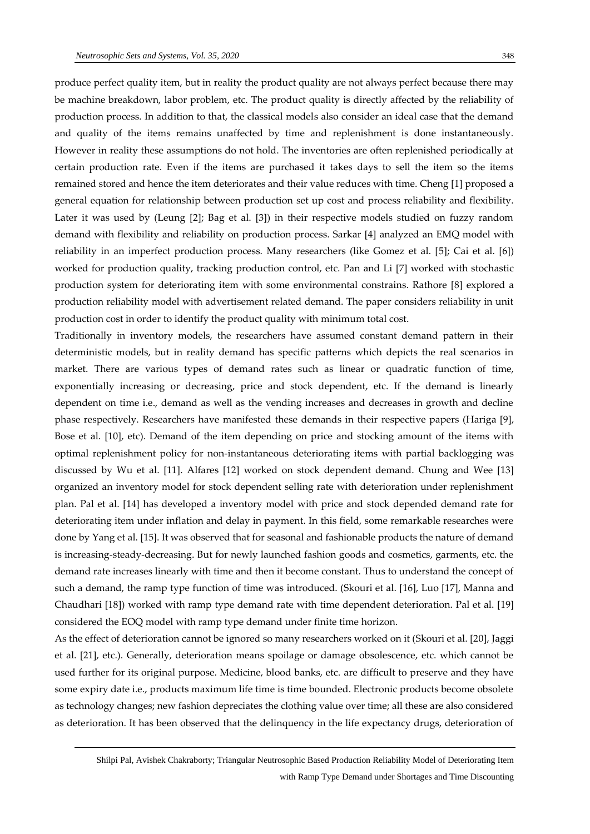produce perfect quality item, but in reality the product quality are not always perfect because there may be machine breakdown, labor problem, etc. The product quality is directly affected by the reliability of production process. In addition to that, the classical models also consider an ideal case that the demand and quality of the items remains unaffected by time and replenishment is done instantaneously. However in reality these assumptions do not hold. The inventories are often replenished periodically at certain production rate. Even if the items are purchased it takes days to sell the item so the items remained stored and hence the item deteriorates and their value reduces with time. Cheng [1] proposed a general equation for relationship between production set up cost and process reliability and flexibility. Later it was used by (Leung [2]; Bag et al. [3]) in their respective models studied on fuzzy random demand with flexibility and reliability on production process. Sarkar [4] analyzed an EMQ model with reliability in an imperfect production process. Many researchers (like Gomez et al. [5]; Cai et al. [6]) worked for production quality, tracking production control, etc. Pan and Li [7] worked with stochastic production system for deteriorating item with some environmental constrains. Rathore [8] explored a production reliability model with advertisement related demand. The paper considers reliability in unit production cost in order to identify the product quality with minimum total cost.

Traditionally in inventory models, the researchers have assumed constant demand pattern in their deterministic models, but in reality demand has specific patterns which depicts the real scenarios in market. There are various types of demand rates such as linear or quadratic function of time, exponentially increasing or decreasing, price and stock dependent, etc. If the demand is linearly dependent on time i.e., demand as well as the vending increases and decreases in growth and decline phase respectively. Researchers have manifested these demands in their respective papers (Hariga [9], Bose et al. [10], etc). Demand of the item depending on price and stocking amount of the items with optimal replenishment policy for non-instantaneous deteriorating items with partial backlogging was discussed by Wu et al. [11]. Alfares [12] worked on stock dependent demand. Chung and Wee [13] organized an inventory model for stock dependent selling rate with deterioration under replenishment plan. Pal et al. [14] has developed a inventory model with price and stock depended demand rate for deteriorating item under inflation and delay in payment. In this field, some remarkable researches were done by Yang et al. [15]. It was observed that for seasonal and fashionable products the nature of demand is increasing-steady-decreasing. But for newly launched fashion goods and cosmetics, garments, etc. the demand rate increases linearly with time and then it become constant. Thus to understand the concept of such a demand, the ramp type function of time was introduced. (Skouri et al. [16], Luo [17], Manna and Chaudhari [18]) worked with ramp type demand rate with time dependent deterioration. Pal et al. [19] considered the EOQ model with ramp type demand under finite time horizon.

As the effect of deterioration cannot be ignored so many researchers worked on it (Skouri et al. [20], Jaggi et al. [21], etc.). Generally, deterioration means spoilage or damage obsolescence, etc. which cannot be used further for its original purpose. Medicine, blood banks, etc. are difficult to preserve and they have some expiry date i.e., products maximum life time is time bounded. Electronic products become obsolete as technology changes; new fashion depreciates the clothing value over time; all these are also considered as deterioration. It has been observed that the delinquency in the life expectancy drugs, deterioration of

Shilpi Pal, Avishek Chakraborty; Triangular Neutrosophic Based Production Reliability Model of Deteriorating Item with Ramp Type Demand under Shortages and Time Discounting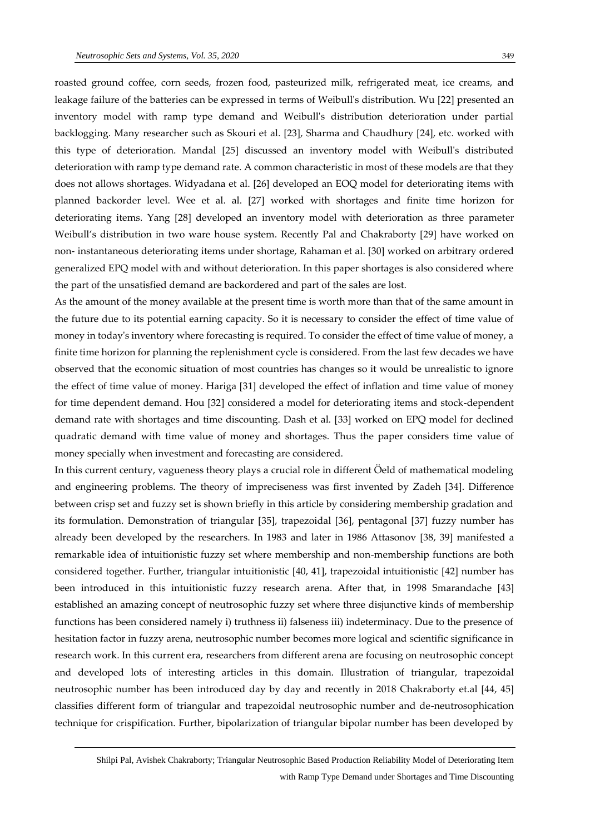roasted ground coffee, corn seeds, frozen food, pasteurized milk, refrigerated meat, ice creams, and leakage failure of the batteries can be expressed in terms of Weibull's distribution. Wu [22] presented an inventory model with ramp type demand and Weibull's distribution deterioration under partial backlogging. Many researcher such as Skouri et al. [23], Sharma and Chaudhury [24], etc. worked with this type of deterioration. Mandal [25] discussed an inventory model with Weibull's distributed deterioration with ramp type demand rate. A common characteristic in most of these models are that they does not allows shortages. Widyadana et al. [26] developed an EOQ model for deteriorating items with planned backorder level. Wee et al. al. [27] worked with shortages and finite time horizon for deteriorating items. Yang [28] developed an inventory model with deterioration as three parameter Weibull's distribution in two ware house system. Recently Pal and Chakraborty [29] have worked on non- instantaneous deteriorating items under shortage, Rahaman et al. [30] worked on arbitrary ordered generalized EPQ model with and without deterioration. In this paper shortages is also considered where the part of the unsatisfied demand are backordered and part of the sales are lost.

As the amount of the money available at the present time is worth more than that of the same amount in the future due to its potential earning capacity. So it is necessary to consider the effect of time value of money in today's inventory where forecasting is required. To consider the effect of time value of money, a finite time horizon for planning the replenishment cycle is considered. From the last few decades we have observed that the economic situation of most countries has changes so it would be unrealistic to ignore the effect of time value of money. Hariga [31] developed the effect of inflation and time value of money for time dependent demand. Hou [32] considered a model for deteriorating items and stock-dependent demand rate with shortages and time discounting. Dash et al. [33] worked on EPQ model for declined quadratic demand with time value of money and shortages. Thus the paper considers time value of money specially when investment and forecasting are considered.

In this current century, vagueness theory plays a crucial role in different Öeld of mathematical modeling and engineering problems. The theory of impreciseness was first invented by Zadeh [34]. Difference between crisp set and fuzzy set is shown briefly in this article by considering membership gradation and its formulation. Demonstration of triangular [35], trapezoidal [36], pentagonal [37] fuzzy number has already been developed by the researchers. In 1983 and later in 1986 Attasonov [38, 39] manifested a remarkable idea of intuitionistic fuzzy set where membership and non-membership functions are both considered together. Further, triangular intuitionistic [40, 41], trapezoidal intuitionistic [42] number has been introduced in this intuitionistic fuzzy research arena. After that, in 1998 Smarandache [43] established an amazing concept of neutrosophic fuzzy set where three disjunctive kinds of membership functions has been considered namely i) truthness ii) falseness iii) indeterminacy. Due to the presence of hesitation factor in fuzzy arena, neutrosophic number becomes more logical and scientific significance in research work. In this current era, researchers from different arena are focusing on neutrosophic concept and developed lots of interesting articles in this domain. Illustration of triangular, trapezoidal neutrosophic number has been introduced day by day and recently in 2018 Chakraborty et.al [44, 45] classifies different form of triangular and trapezoidal neutrosophic number and de-neutrosophication technique for crispification. Further, bipolarization of triangular bipolar number has been developed by

Shilpi Pal, Avishek Chakraborty; Triangular Neutrosophic Based Production Reliability Model of Deteriorating Item with Ramp Type Demand under Shortages and Time Discounting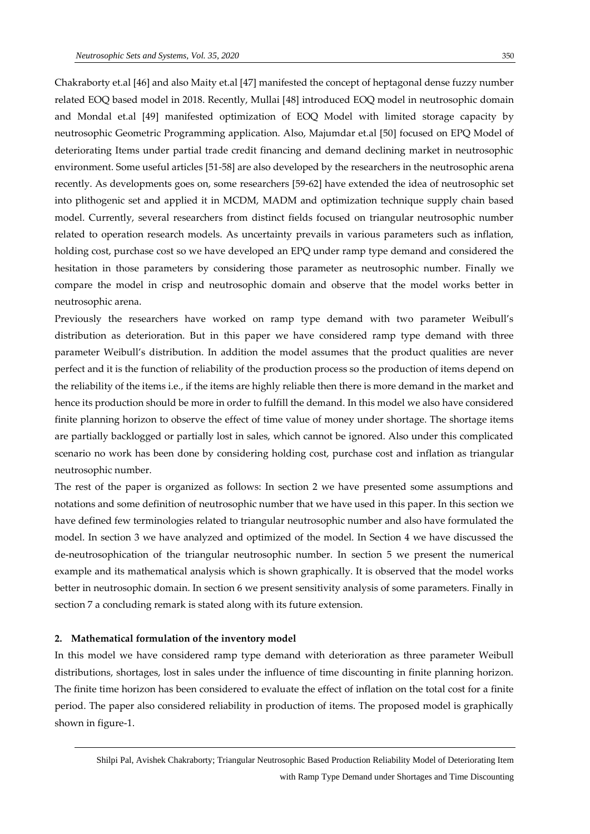Chakraborty et.al [46] and also Maity et.al [47] manifested the concept of heptagonal dense fuzzy number related EOQ based model in 2018. Recently, Mullai [48] introduced EOQ model in neutrosophic domain and Mondal et.al [49] manifested optimization of EOQ Model with limited storage capacity by neutrosophic Geometric Programming application. Also, Majumdar et.al [50] focused on EPQ Model of deteriorating Items under partial trade credit financing and demand declining market in neutrosophic environment. Some useful articles [51-58] are also developed by the researchers in the neutrosophic arena recently. As developments goes on, some researchers [59-62] have extended the idea of neutrosophic set into plithogenic set and applied it in MCDM, MADM and optimization technique supply chain based model. Currently, several researchers from distinct fields focused on triangular neutrosophic number related to operation research models. As uncertainty prevails in various parameters such as inflation, holding cost, purchase cost so we have developed an EPQ under ramp type demand and considered the hesitation in those parameters by considering those parameter as neutrosophic number. Finally we compare the model in crisp and neutrosophic domain and observe that the model works better in neutrosophic arena.

Previously the researchers have worked on ramp type demand with two parameter Weibull's distribution as deterioration. But in this paper we have considered ramp type demand with three parameter Weibull's distribution. In addition the model assumes that the product qualities are never perfect and it is the function of reliability of the production process so the production of items depend on the reliability of the items i.e., if the items are highly reliable then there is more demand in the market and hence its production should be more in order to fulfill the demand. In this model we also have considered finite planning horizon to observe the effect of time value of money under shortage. The shortage items are partially backlogged or partially lost in sales, which cannot be ignored. Also under this complicated scenario no work has been done by considering holding cost, purchase cost and inflation as triangular neutrosophic number.

The rest of the paper is organized as follows: In section 2 we have presented some assumptions and notations and some definition of neutrosophic number that we have used in this paper. In this section we have defined few terminologies related to triangular neutrosophic number and also have formulated the model. In section 3 we have analyzed and optimized of the model. In Section 4 we have discussed the de-neutrosophication of the triangular neutrosophic number. In section 5 we present the numerical example and its mathematical analysis which is shown graphically. It is observed that the model works better in neutrosophic domain. In section 6 we present sensitivity analysis of some parameters. Finally in section 7 a concluding remark is stated along with its future extension.

#### **2. Mathematical formulation of the inventory model**

In this model we have considered ramp type demand with deterioration as three parameter Weibull distributions, shortages, lost in sales under the influence of time discounting in finite planning horizon. The finite time horizon has been considered to evaluate the effect of inflation on the total cost for a finite period. The paper also considered reliability in production of items. The proposed model is graphically shown in figure-1.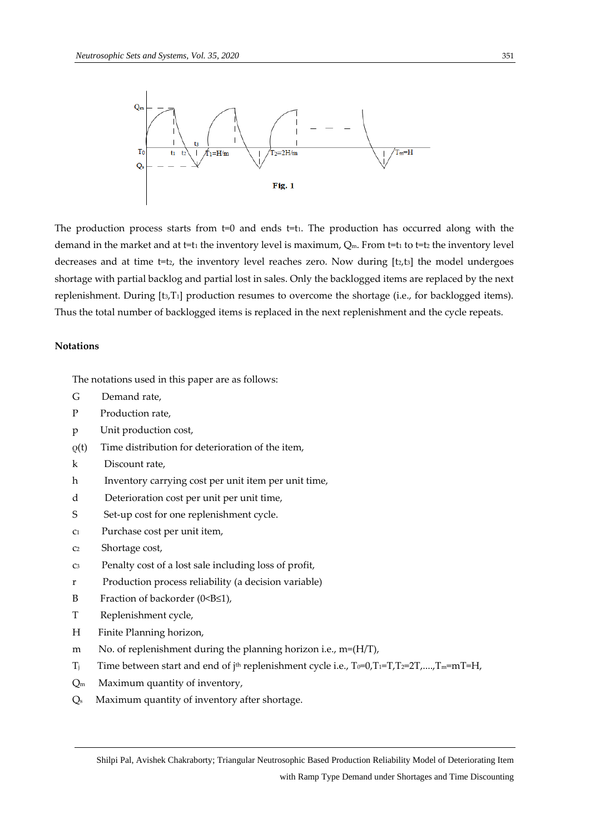

The production process starts from t=0 and ends t=t1. The production has occurred along with the demand in the market and at t=t<sub>1</sub> the inventory level is maximum,  $Q_m$ . From t=t<sub>1</sub> to t=t<sub>2</sub> the inventory level decreases and at time  $t=t<sub>2</sub>$ , the inventory level reaches zero. Now during  $[t<sub>2</sub>,t<sub>3</sub>]$  the model undergoes shortage with partial backlog and partial lost in sales. Only the backlogged items are replaced by the next replenishment. During [t3,T<sub>1</sub>] production resumes to overcome the shortage (i.e., for backlogged items). Thus the total number of backlogged items is replaced in the next replenishment and the cycle repeats.

# **Notations**

The notations used in this paper are as follows:

- G Demand rate,
- P Production rate,
- p Unit production cost,
- ρ(t) Time distribution for deterioration of the item,
- k Discount rate,
- h Inventory carrying cost per unit item per unit time,
- d Deterioration cost per unit per unit time,
- S Set-up cost for one replenishment cycle.
- c1 Purchase cost per unit item,
- c2 Shortage cost,
- c3 Penalty cost of a lost sale including loss of profit,
- r Production process reliability (a decision variable)
- B Fraction of backorder (0<B≤1),
- T Replenishment cycle,
- H Finite Planning horizon,
- m No. of replenishment during the planning horizon i.e., m=(H/T),
- T<sub>j</sub> Time between start and end of j<sup>th</sup> replenishment cycle i.e., T<sub>0</sub>=0,T<sub>1</sub>=T,T<sub>2</sub>=2T,....,T<sub>m</sub>=mT=H,
- $Q_m$  Maximum quantity of inventory,
- Qs Maximum quantity of inventory after shortage.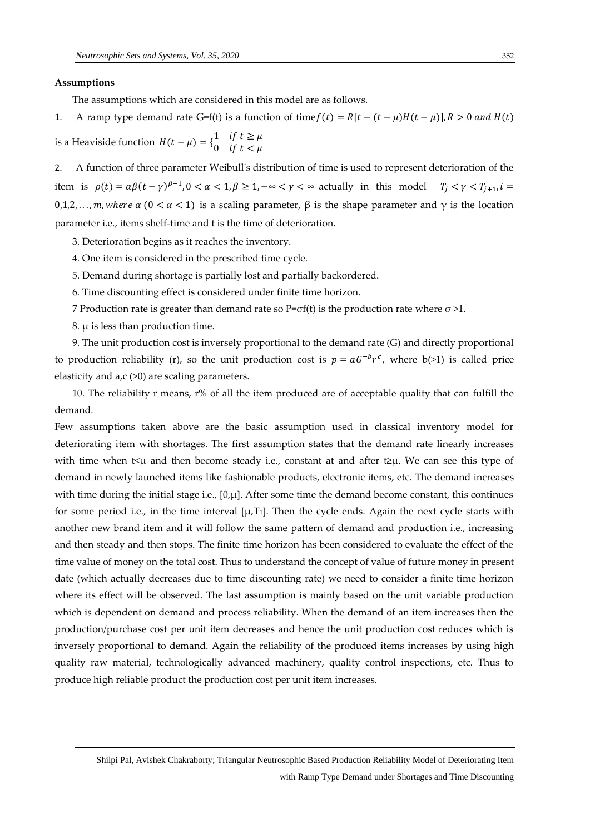#### **Assumptions**

The assumptions which are considered in this model are as follows.

1. A ramp type demand rate G=f(t) is a function of time  $f(t) = R[t - (t - \mu)H(t - \mu)]$ ,  $R > 0$  and  $H(t)$ 

is a Heaviside function  $H(t - \mu) = \begin{cases} 1 & \text{if } t \geq \mu \\ 0 & \text{if } t < \mu \end{cases}$ 0 if  $t < \mu$ 

2. A function of three parameter Weibull's distribution of time is used to represent deterioration of the item is  $\rho(t) = \alpha \beta (t - \gamma)^{\beta - 1}$ ,  $0 < \alpha < 1$ ,  $\beta \ge 1$ ,  $-\infty < \gamma < \infty$  actually in this model  $T_j < \gamma < T_{j+1}$ ,  $i =$ 0,1,2,..., m, where  $\alpha$  (0 <  $\alpha$  < 1) is a scaling parameter,  $\beta$  is the shape parameter and  $\gamma$  is the location parameter i.e., items shelf-time and t is the time of deterioration.

- 3. Deterioration begins as it reaches the inventory.
- 4. One item is considered in the prescribed time cycle.
- 5. Demand during shortage is partially lost and partially backordered.
- 6. Time discounting effect is considered under finite time horizon.
- 7 Production rate is greater than demand rate so  $P=\sigma f(t)$  is the production rate where  $\sigma > 1$ .
- 8. μ is less than production time.

 9. The unit production cost is inversely proportional to the demand rate (G) and directly proportional to production reliability (r), so the unit production cost is  $p = aG^{-b}r^c$ , where  $b(>1)$  is called price elasticity and  $a, c$  ( $>0$ ) are scaling parameters.

 10. The reliability r means, r% of all the item produced are of acceptable quality that can fulfill the demand.

Few assumptions taken above are the basic assumption used in classical inventory model for deteriorating item with shortages. The first assumption states that the demand rate linearly increases with time when t<μ and then become steady i.e., constant at and after t≥μ. We can see this type of demand in newly launched items like fashionable products, electronic items, etc. The demand increases with time during the initial stage i.e.,  $[0,\mu]$ . After some time the demand become constant, this continues for some period i.e., in the time interval  $[\mu, T_1]$ . Then the cycle ends. Again the next cycle starts with another new brand item and it will follow the same pattern of demand and production i.e., increasing and then steady and then stops. The finite time horizon has been considered to evaluate the effect of the time value of money on the total cost. Thus to understand the concept of value of future money in present date (which actually decreases due to time discounting rate) we need to consider a finite time horizon where its effect will be observed. The last assumption is mainly based on the unit variable production which is dependent on demand and process reliability. When the demand of an item increases then the production/purchase cost per unit item decreases and hence the unit production cost reduces which is inversely proportional to demand. Again the reliability of the produced items increases by using high quality raw material, technologically advanced machinery, quality control inspections, etc. Thus to produce high reliable product the production cost per unit item increases.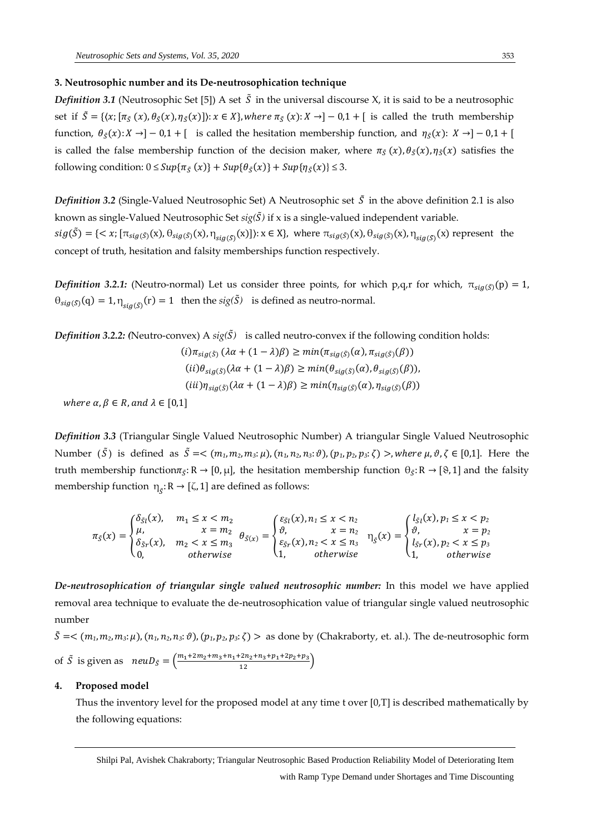## **3. Neutrosophic number and its De-neutrosophication technique**

*Definition 3.1* (Neutrosophic Set [5]) A set  $\tilde{S}$  in the universal discourse X, it is said to be a neutrosophic set if  $\tilde{S} = \{(x; [\pi_{\tilde{S}}(x), \theta_{\tilde{S}}(x), \eta_{\tilde{S}}(x)]): x \in X\}$ , where  $\pi_{\tilde{S}}(x): X \to ]-0,1+$  [is called the truth membership function,  $\theta_{\tilde{S}}(x): X \to ]-0,1+$  [ is called the hesitation membership function, and  $\eta_{\tilde{S}}(x): X \to ]-0,1+$  [ is called the false membership function of the decision maker, where  $\pi_{\xi}(x)$ ,  $\theta_{\xi}(x)$ ,  $\eta_{\xi}(x)$  satisfies the following condition:  $0 \leq Sup{\lbrace \pi_{\tilde{S}}(x) \rbrace} + Sup{\lbrace \theta_{\tilde{S}}(x) \rbrace} + Sup{\lbrace \eta_{\tilde{S}}(x) \rbrace} \leq 3.$ 

*Definition 3.2* (Single-Valued Neutrosophic Set) A Neutrosophic set  $\tilde{S}$  in the above definition 2.1 is also known as single-Valued Neutrosophic Set *sig(*̃*)* if x is a single-valued independent variable.  $sig(\tilde{S}) = \{ \langle x; [\pi_{sig(\tilde{S})}(x), \theta_{sig(\tilde{S})}(x), \eta_{sig(\tilde{S})}(x)] \rangle : x \in X \},$  where  $\pi_{sig(\tilde{S})}(x), \theta_{sig(\tilde{S})}(x), \eta_{sig(\tilde{S})}(x)$  represent the concept of truth, hesitation and falsity memberships function respectively.

*Definition 3.2.1:* (Neutro-normal) Let us consider three points, for which p,q,r for which,  $\pi_{\text{sia}(\bar{S})}(p) = 1$ ,  $\theta_{sig(\tilde{S})}(q) = 1, \eta_{sig(\tilde{S})}(r) = 1$  then the  $sig(\tilde{S})$  is defined as neutro-normal.

*Definition 3.2.2:* (Neutro-convex) A  $sig(\tilde{S})$  is called neutro-convex if the following condition holds:

 $(i)\pi_{\text{sia}(\tilde{S})}(\lambda \alpha + (1 - \lambda)\beta) \geq \min(\pi_{\text{sia}(\tilde{S})}(\alpha), \pi_{\text{sia}(\tilde{S})}(\beta))$  $(ii)\theta_{\text{siq}(\tilde{S})}(\lambda \alpha + (1 - \lambda)\beta) \geq \min(\theta_{\text{sig}(\tilde{S})}(\alpha), \theta_{\text{sig}(\tilde{S})}(\beta)),$  $(iii)\eta_{\text{sig}(\tilde{S})}(\lambda \alpha + (1 - \lambda)\beta) \geq min(\eta_{\text{sig}(\tilde{S})}(\alpha), \eta_{\text{sig}(\tilde{S})}(\beta))$ 

where  $\alpha, \beta \in R$ , and  $\lambda \in [0,1]$ 

*Definition 3.3* (Triangular Single Valued Neutrosophic Number) A triangular Single Valued Neutrosophic Number (*Š*) is defined as *Š* = < (*m*<sub>1</sub>, *m*<sub>2</sub>, *m*<sub>3</sub>: μ), (*n*<sub>1</sub>, *n*<sub>2</sub>, *n*<sub>3</sub>: θ), (*p*<sub>1</sub>, *p*<sub>2</sub>, *p*<sub>3</sub>: ζ) >, *where* μ, θ, ζ ∈ [0,1]. Here the truth membership function $\pi_{\tilde{S}}: R \to [0, \mu]$ , the hesitation membership function  $\theta_{\tilde{S}}: R \to [8, 1]$  and the falsity membership function  $\eta_{\tilde{S}}: \mathsf{R} \to [\zeta,1]$  are defined as follows:

$$
\pi_{\tilde{S}}(x) = \begin{cases}\n\delta_{\tilde{S}l}(x), & m_1 \leq x < m_2 \\
\mu, & x = m_2 \\
\delta_{\tilde{S}r}(x), & m_2 < x \leq m_3 \\
0, & \text{otherwise}\n\end{cases} \quad \theta_{\tilde{S}(x)} = \begin{cases}\n\varepsilon_{\tilde{S}l}(x), & n_1 \leq x < n_2 \\
\vartheta, & x = n_2 \\
\varepsilon_{\tilde{S}r}(x), & n_2 < x \leq n_3 \\
1, & \text{otherwise}\n\end{cases} \quad \eta_{\tilde{S}}(x) = \begin{cases}\n\iota_{\tilde{S}l}(x), & p_1 \leq x < p_2 \\
\vartheta, & x = p_2 \\
\iota_{\tilde{S}r}(x), & p_2 < x \leq p_3 \\
1, & \text{otherwise}\n\end{cases}
$$

*De-neutrosophication of triangular single valued neutrosophic number:* In this model we have applied removal area technique to evaluate the de-neutrosophication value of triangular single valued neutrosophic number

 $\tilde{S}$  =<  $(m_1, m_2, m_3; \mu)$ ,  $(n_1, n_2, n_3; \vartheta)$ ,  $(p_1, p_2, p_3; \zeta)$  > as done by (Chakraborty, et. al.). The de-neutrosophic form of *Š* is given as  $neuD_{\tilde{S}} = \left(\frac{m_1 + 2m_2 + m_3 + n_1 + 2n_2 + n_3 + p_1 + 2p_2 + p_3}{12}\right)$ 

#### **4. Proposed model**

Thus the inventory level for the proposed model at any time t over [0,T] is described mathematically by the following equations:

Shilpi Pal, Avishek Chakraborty; Triangular Neutrosophic Based Production Reliability Model of Deteriorating Item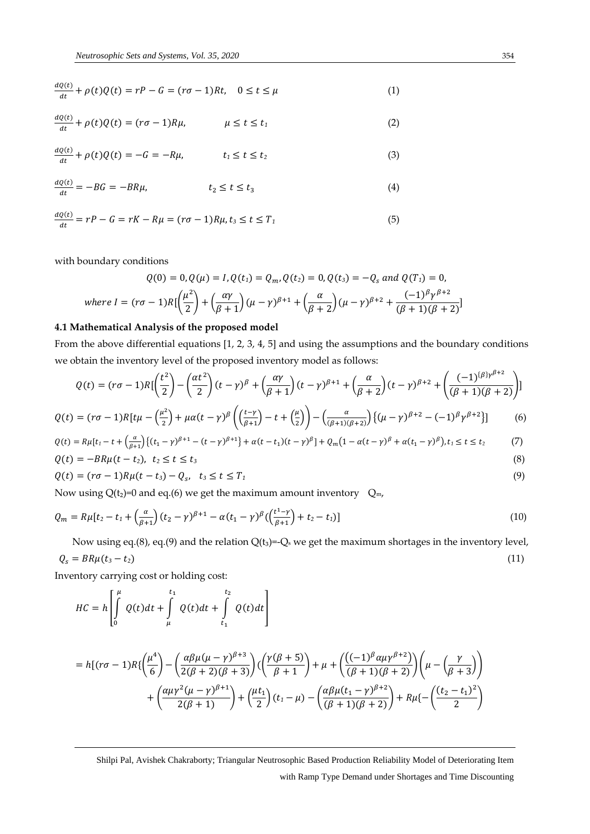$$
\frac{dQ(t)}{dt} + \rho(t)Q(t) = rP - G = (r\sigma - 1)Rt, \quad 0 \le t \le \mu
$$
\n(1)

$$
\frac{dQ(t)}{dt} + \rho(t)Q(t) = (r\sigma - 1)R\mu, \qquad \mu \le t \le t_1
$$
\n(2)

$$
\frac{dQ(t)}{dt} + \rho(t)Q(t) = -G = -R\mu, \qquad t_1 \le t \le t_2 \tag{3}
$$

$$
\frac{dQ(t)}{dt} = -BG = -BR\mu, \qquad t_2 \le t \le t_3 \tag{4}
$$

$$
\frac{dQ(t)}{dt} = rP - G = rK - R\mu = (r\sigma - 1)R\mu, t_3 \le t \le T_1
$$
\n<sup>(5)</sup>

with boundary conditions

$$
Q(0) = 0, Q(\mu) = I, Q(t_1) = Q_m, Q(t_2) = 0, Q(t_3) = -Q_s \text{ and } Q(T_1) = 0,
$$
  
where  $I = (r\sigma - 1)R\left[\left(\frac{\mu^2}{2}\right) + \left(\frac{\alpha\gamma}{\beta + 1}\right)(\mu - \gamma)^{\beta + 1} + \left(\frac{\alpha}{\beta + 2}\right)(\mu - \gamma)^{\beta + 2} + \frac{(-1)^{\beta}\gamma^{\beta + 2}}{(\beta + 1)(\beta + 2)}\right]$ 

#### **4.1 Mathematical Analysis of the proposed model**

From the above differential equations [1, 2, 3, 4, 5] and using the assumptions and the boundary conditions we obtain the inventory level of the proposed inventory model as follows:

$$
Q(t) = (r\sigma - 1)R\left[\left(\frac{t^2}{2}\right) - \left(\frac{\alpha t^2}{2}\right)(t - \gamma)^{\beta} + \left(\frac{\alpha \gamma}{\beta + 1}\right)(t - \gamma)^{\beta + 1} + \left(\frac{\alpha}{\beta + 2}\right)(t - \gamma)^{\beta + 2} + \left(\frac{(-1)^{\{\beta\}\gamma^{\beta + 2}}}{(\beta + 1)(\beta + 2)}\right)\right]
$$

$$
Q(t) = (r\sigma - 1)R[t\mu - \left(\frac{\mu^2}{2}\right) + \mu\alpha(t - \gamma)\beta \left(\left(\frac{t - \gamma}{\beta + 1}\right) - t + \left(\frac{\mu}{2}\right)\right) - \left(\frac{\alpha}{(\beta + 1)(\beta + 2)}\right)\left\{(\mu - \gamma)\beta + 2 - (-1)^{\beta}\gamma^{\beta + 2}\right\}\right]
$$
(6)

$$
Q(t) = R\mu[t_1 - t + \left(\frac{\alpha}{\beta + 1}\right) \left\{ (t_1 - \gamma)^{\beta + 1} - (t - \gamma)^{\beta + 1} \right\} + \alpha(t - t_1)(t - \gamma)^{\beta} + Q_m(1 - \alpha(t - \gamma)^{\beta} + \alpha(t_1 - \gamma)^{\beta}), t_1 \le t \le t_2
$$
 (7)

$$
Q(t) = -BR\mu(t - t_2), \quad t_2 \le t \le t_3 \tag{8}
$$

$$
Q(t) = (r\sigma - 1)R\mu(t - t_3) - Q_s, \quad t_3 \le t \le T_1
$$
\n(9)

Now using  $Q(t_2)=0$  and eq.(6) we get the maximum amount inventory  $Q_m$ ,

$$
Q_m = R\mu[t_2 - t_1 + \left(\frac{\alpha}{\beta + 1}\right)(t_2 - \gamma)^{\beta + 1} - \alpha(t_1 - \gamma)^{\beta}\left(\frac{t^1 - \gamma}{\beta + 1}\right) + t_2 - t_1)]\tag{10}
$$

Now using eq.(8), eq.(9) and the relation  $Q(t_3) = Q_s$  we get the maximum shortages in the inventory level,  $Q_s = BR\mu(t_3 - t_2)$  (11)

Inventory carrying cost or holding cost:

$$
HC = h \left[ \int\limits_{0}^{\mu} Q(t)dt + \int\limits_{\mu}^{t_1} Q(t)dt + \int\limits_{t_1}^{t_2} Q(t)dt \right]
$$

$$
= h[(r\sigma - 1)R\{\left(\frac{\mu^{4}}{6}\right) - \left(\frac{\alpha\beta\mu(\mu - \gamma)^{\beta+3}}{2(\beta+2)(\beta+3)}\right)\left(\left(\frac{\gamma(\beta+5)}{\beta+1}\right) + \mu + \left(\frac{((-1)^{\beta}\alpha\mu\gamma^{\beta+2})}{(\beta+1)(\beta+2)}\right)\left(\mu - \left(\frac{\gamma}{\beta+3}\right)\right) + \left(\frac{\alpha\mu\gamma^{2}(\mu - \gamma)^{\beta+1}}{2(\beta+1)}\right) + \left(\frac{\mu t_{1}}{2}\right)(t_{1} - \mu) - \left(\frac{\alpha\beta\mu(t_{1} - \gamma)^{\beta+2}}{(\beta+1)(\beta+2)}\right) + R\mu\left\{-\left(\frac{(t_{2} - t_{1})^{2}}{2}\right)\left(\mu - \left(\frac{\beta\mu(\gamma)}{2}\right)\right)\left(\mu - \left(\frac{\beta\mu(\gamma)}{2}\right)\right)\right\}
$$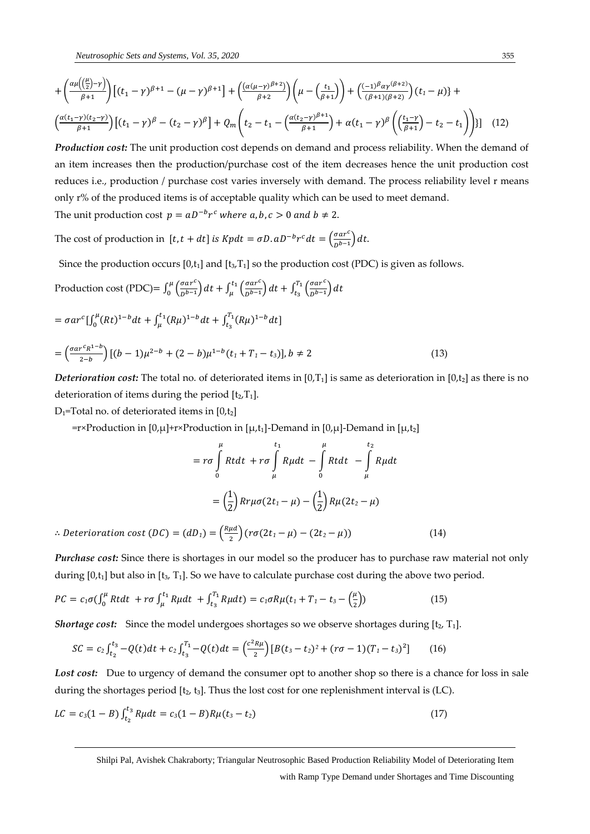$$
+\left(\frac{\alpha\mu\left(\frac{\mu}{2}-\gamma\right)}{\beta+1}\right)\left[(t_{1}-\gamma)^{\beta+1}-(\mu-\gamma)^{\beta+1}\right]+\left(\frac{(\alpha(\mu-\gamma)^{\beta+2})}{\beta+2}\right)\left(\mu-\left(\frac{t_{1}}{\beta+1}\right)\right)+\left(\frac{(-1)^{\beta}\alpha\gamma^{(\beta+2)}}{(\beta+1)(\beta+2)}\right)(t_{1}-\mu)+\left(\frac{\alpha(t_{1}-\gamma)(t_{2}-\gamma)}{\beta+1}\right)\left[(t_{1}-\gamma)^{\beta}-(t_{2}-\gamma)^{\beta}\right]+Q_{m}\left(t_{2}-t_{1}-\left(\frac{\alpha(t_{2}-\gamma)^{\beta+1}}{\beta+1}\right)+\alpha(t_{1}-\gamma)^{\beta}\left(\left(\frac{t_{1}-\gamma}{\beta+1}\right)-t_{2}-t_{1}\right)\right)\right]\tag{12}
$$

*Production cost:* The unit production cost depends on demand and process reliability. When the demand of an item increases then the production/purchase cost of the item decreases hence the unit production cost reduces i.e., production / purchase cost varies inversely with demand. The process reliability level r means only r% of the produced items is of acceptable quality which can be used to meet demand.

The unit production cost  $p = aD^{-b}r^c$  where  $a, b, c > 0$  and  $b \neq 2$ .

The cost of production in [t, t + dt] is Kpdt =  $\sigma D$ .  $aD^{-b}r^c dt = \left(\frac{\sigma a r^c}{R^{b-1}}\right)$  $\frac{\partial u}{\partial b-1}$  dt.

Since the production occurs  $[0,t_1]$  and  $[t_3,T_1]$  so the production cost (PDC) is given as follows.

Production cost (PDC) = 
$$
\int_0^{\mu} \left( \frac{\sigma a r^c}{D^{b-1}} \right) dt + \int_{\mu}^{t_1} \left( \frac{\sigma a r^c}{D^{b-1}} \right) dt + \int_{t_3}^{T_1} \left( \frac{\sigma a r^c}{D^{b-1}} \right) dt
$$

$$
= \sigma ar^{c} \left[\int_{0}^{\mu} (Rt)^{1-b} dt + \int_{\mu}^{t_{1}} (R\mu)^{1-b} dt + \int_{t_{3}}^{T_{1}} (R\mu)^{1-b} dt\right]
$$
  

$$
= \left(\frac{\sigma ar^{c} R^{1-b}}{2-b}\right) \left[(b-1)\mu^{2-b} + (2-b)\mu^{1-b} (t_{1} + T_{1} - t_{3})\right], b \neq 2
$$
 (13)

*Deterioration cost:* The total no. of deteriorated items in  $[0,T_1]$  is same as deterioration in  $[0,t_2]$  as there is no deterioration of items during the period  $[t_2,T_1]$ .

 $D_1$ =Total no. of deteriorated items in [0,t<sub>2</sub>]

 $=r\times$ Production in [0,µ]+r×Production in [µ,t<sub>1</sub>]-Demand in [0,µ]-Demand in [µ,t<sub>2</sub>]

$$
= r\sigma \int_{0}^{\mu} Rt dt + r\sigma \int_{\mu}^{t_1} R\mu dt - \int_{0}^{\mu} Rt dt - \int_{\mu}^{t_2} R\mu dt
$$

$$
= \left(\frac{1}{2}\right) Rr\mu\sigma (2t_1 - \mu) - \left(\frac{1}{2}\right) R\mu (2t_2 - \mu)
$$

∴ *Deterioration cost*  $(DC) = (dD_1) = \left(\frac{R\mu d}{2}\right)^2$  $\frac{\mu u}{2}$  $(r\sigma(2t_1 - \mu) - (2t_2 - \mu))$  (14)

*Purchase cost:* Since there is shortages in our model so the producer has to purchase raw material not only during  $[0,t_1]$  but also in  $[t_3, T_1]$ . So we have to calculate purchase cost during the above two period.

$$
PC = c_1 \sigma \left( \int_0^{\mu} Rt dt + r \sigma \int_{\mu}^{t_1} R \mu dt + \int_{t_3}^{T_1} R \mu dt \right) = c_1 \sigma R \mu (t_1 + T_1 - t_3 - \left( \frac{\mu}{2} \right))
$$
(15)

*Shortage cost:* Since the model undergoes shortages so we observe shortages during [t<sub>2</sub>, T<sub>1</sub>].

$$
SC = c_2 \int_{t_2}^{t_3} -Q(t)dt + c_2 \int_{t_3}^{T_1} -Q(t)dt = \left(\frac{c^2 R \mu}{2}\right)[B(t_3 - t_2)^2 + (r\sigma - 1)(T_1 - t_3)^2] \tag{16}
$$

Lost cost: Due to urgency of demand the consumer opt to another shop so there is a chance for loss in sale during the shortages period  $[t<sub>2</sub>, t<sub>3</sub>]$ . Thus the lost cost for one replenishment interval is (LC).

$$
LC = c_3(1 - B) \int_{t_2}^{t_3} R\mu dt = c_3(1 - B)R\mu(t_3 - t_2)
$$
\n(17)

Shilpi Pal, Avishek Chakraborty; Triangular Neutrosophic Based Production Reliability Model of Deteriorating Item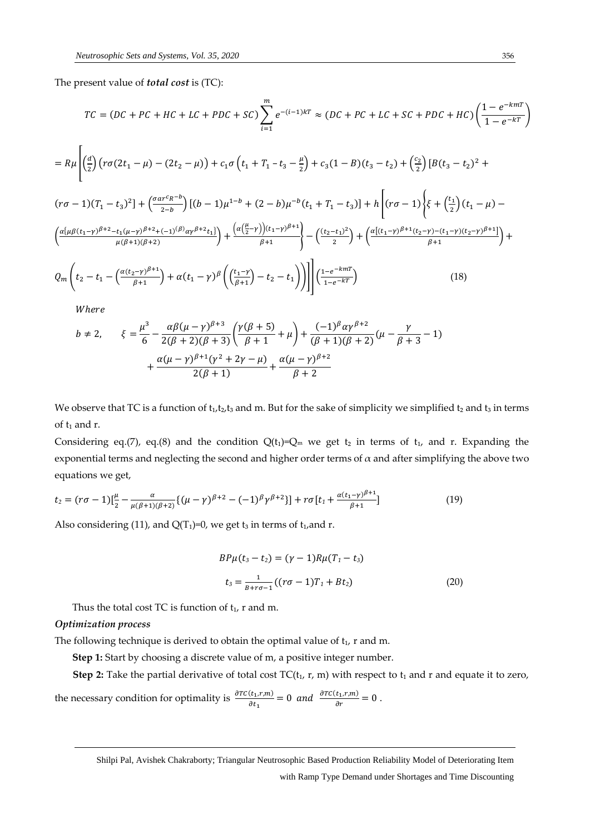The present value of *total cost* is (TC):

$$
TC = (DC + PC + HC + LC + PDC + SC) \sum_{i=1}^{m} e^{-(i-1)kT} \approx (DC + PC + LC + SC + PDC + HC) \left(\frac{1 - e^{-kmT}}{1 - e^{-kT}}\right)
$$
  
=  $R\mu \left[ \left(\frac{d}{2}\right) \left( r\sigma(2t_1 - \mu) - (2t_2 - \mu) \right) + c_1\sigma \left(t_1 + T_1 - t_3 - \frac{\mu}{2}\right) + c_3(1 - B)(t_3 - t_2) + \left(\frac{c_2}{2}\right) \left[ B(t_3 - t_2)^2 + B(t_3 - t_3)^2 \right] \right]$ 

$$
(r\sigma - 1)(T_1 - t_3)^2] + \left(\frac{\sigma ar^c R^{-b}}{2-b}\right)[(b - 1)\mu^{1-b} + (2 - b)\mu^{-b}(t_1 + T_1 - t_3)] + h\left[(r\sigma - 1)\left(\xi + \left(\frac{t_1}{2}\right)(t_1 - \mu) - \left(\frac{\alpha(\mu\beta(t_1 - \gamma)^{\beta+2} - t_1(\mu - \gamma)^{\beta+2} + (-1)^{(\beta)}\alpha\gamma^{\beta+2}t_1)}{\mu(\beta+1)(\beta+2)}\right) + \frac{\left(\alpha(\frac{\mu}{2}-\gamma)\right)(t_1 - \gamma)^{\beta+1}}{\beta+1}\right] - \left(\frac{(t_2 - t_1)^2}{2}\right) + \left(\frac{\alpha[(t_1 - \gamma)^{\beta+1}(t_2 - \gamma) - (t_1 - \gamma)(t_2 - \gamma)^{\beta+1}]}{\beta+1}\right) + \rho_m\left(t_2 - t_1 - \left(\frac{\alpha(t_2 - \gamma)^{\beta+1}}{\beta+1}\right) + \alpha(t_1 - \gamma)^{\beta}\left(\left(\frac{t_1 - \gamma}{\beta+1}\right) - t_2 - t_1\right)\right)\right]\left(\frac{1 - e^{-kmT}}{1 - e^{-kT}}\right) \tag{18}
$$

Where

$$
b \neq 2, \qquad \xi = \frac{\mu^3}{6} - \frac{\alpha \beta (\mu - \gamma)^{\beta + 3}}{2(\beta + 2)(\beta + 3)} \left( \frac{\gamma (\beta + 5)}{\beta + 1} + \mu \right) + \frac{(-1)^{\beta} \alpha \gamma^{\beta + 2}}{(\beta + 1)(\beta + 2)} (\mu - \frac{\gamma}{\beta + 3} - 1) + \frac{\alpha (\mu - \gamma)^{\beta + 1} (\gamma^2 + 2\gamma - \mu)}{2(\beta + 1)} + \frac{\alpha (\mu - \gamma)^{\beta + 2}}{\beta + 2}
$$

We observe that TC is a function of  $t_1,t_2,t_3$  and m. But for the sake of simplicity we simplified  $t_2$  and  $t_3$  in terms of  $t_1$  and r.

Considering eq.(7), eq.(8) and the condition  $Q(t_1)=Q_m$  we get  $t_2$  in terms of  $t_1$ , and r. Expanding the exponential terms and neglecting the second and higher order terms of  $\alpha$  and after simplifying the above two equations we get,

$$
t_2 = (r\sigma - 1)[\frac{\mu}{2} - \frac{\alpha}{\mu(\beta + 1)(\beta + 2)}\{(\mu - \gamma)^{\beta + 2} - (-1)^{\beta}\gamma^{\beta + 2}\}] + r\sigma[t_1 + \frac{\alpha(t_1 - \gamma)^{\beta + 1}}{\beta + 1}]
$$
(19)

Also considering (11), and  $Q(T_1)=0$ , we get t<sub>3</sub> in terms of t<sub>1</sub>, and r.

$$
BP\mu(t_3 - t_2) = (\gamma - 1)R\mu(T_1 - t_3)
$$
  

$$
t_3 = \frac{1}{B + r\sigma - 1}((r\sigma - 1)T_1 + Bt_2)
$$
 (20)

Thus the total cost TC is function of  $t_1$ , r and m.

#### *Optimization process*

The following technique is derived to obtain the optimal value of  $t_1$ , r and m.

**Step 1:** Start by choosing a discrete value of m, a positive integer number.

**Step 2:** Take the partial derivative of total cost  $TC(t_1, r, m)$  with respect to  $t_1$  and r and equate it to zero,

the necessary condition for optimality is  $\frac{\partial T C(t_1,r,m)}{\partial t_1} = 0$  and  $\frac{\partial T C(t_1,r,m)}{\partial r} = 0$ .

Shilpi Pal, Avishek Chakraborty; Triangular Neutrosophic Based Production Reliability Model of Deteriorating Item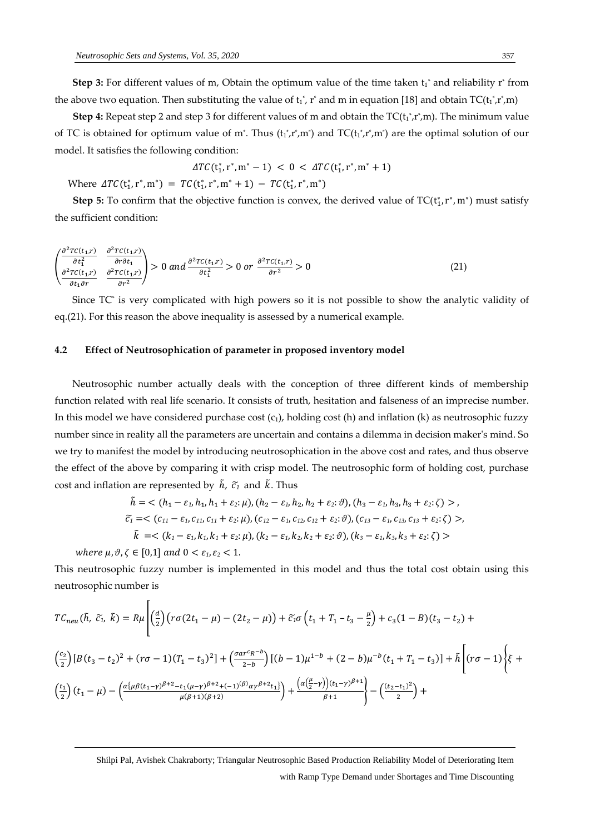**Step 3:** For different values of m, Obtain the optimum value of the time taken  $t_1^*$  and reliability  $r^*$  from the above two equation. Then substituting the value of  ${\rm t_1}^*$ ,  ${\rm r}^*$  and m in equation [18] and obtain TC( ${\rm t_1}^*,{\rm r^*},$ m)

**Step 4:** Repeat step 2 and step 3 for different values of m and obtain the  $TC(t_1^*, r^*, m)$ . The minimum value of TC is obtained for optimum value of m<sup>\*</sup>. Thus  $(t_1^*, r^*, m^*)$  and TC $(t_1^*, r^*, m^*)$  are the optimal solution of our model. It satisfies the following condition:

$$
\Delta TC(t_1^*, r^*, m^* - 1) < 0 < \Delta TC(t_1^*, r^*, m^* + 1)
$$

Where  $\Delta TC(t_1^*, r^*, m^*) = TC(t_1^*, r^*, m^* + 1) - TC(t_1^*, r^*, m^*)$ 

**Step 5:** To confirm that the objective function is convex, the derived value of  $TC(t_1^*, r^*, m^*)$  must satisfy the sufficient condition:

$$
\begin{pmatrix}\n\frac{\partial^2 T C(t_1, r)}{\partial t_1^2} & \frac{\partial^2 T C(t_1, r)}{\partial r \partial t_1} \\
\frac{\partial^2 T C(t_1, r)}{\partial t_1 \partial r} & \frac{\partial^2 T C(t_1, r)}{\partial r^2}\n\end{pmatrix} > 0 \text{ and } \frac{\partial^2 T C(t_1, r)}{\partial t_1^2} > 0 \text{ or } \frac{\partial^2 T C(t_1, r)}{\partial r^2} > 0
$$
\n
$$
\tag{21}
$$

 Since TC\* is very complicated with high powers so it is not possible to show the analytic validity of eq.(21). For this reason the above inequality is assessed by a numerical example.

#### **4.2 Effect of Neutrosophication of parameter in proposed inventory model**

 Neutrosophic number actually deals with the conception of three different kinds of membership function related with real life scenario. It consists of truth, hesitation and falseness of an imprecise number. In this model we have considered purchase cost  $(c_1)$ , holding cost (h) and inflation (k) as neutrosophic fuzzy number since in reality all the parameters are uncertain and contains a dilemma in decision maker's mind. So we try to manifest the model by introducing neutrosophication in the above cost and rates, and thus observe the effect of the above by comparing it with crisp model. The neutrosophic form of holding cost, purchase cost and inflation are represented by  $\tilde{h}$ ,  $\tilde{c}_1$  and  $\tilde{k}$ . Thus

$$
\tilde{h} = \langle (h_1 - \varepsilon_1, h_1, h_1 + \varepsilon_2; \mu), (h_2 - \varepsilon_1, h_2, h_2 + \varepsilon_2; \vartheta), (h_3 - \varepsilon_1, h_3, h_3 + \varepsilon_2; \zeta) \rangle,
$$
\n
$$
\tilde{c}_1 = \langle (c_{11} - \varepsilon_1, c_{11}, c_{11} + \varepsilon_2; \mu), (c_{12} - \varepsilon_1, c_{12}, c_{12} + \varepsilon_2; \vartheta), (c_{13} - \varepsilon_1, c_{13}, c_{13} + \varepsilon_2; \zeta) \rangle,
$$
\n
$$
\tilde{k} = \langle (k_1 - \varepsilon_1, k_1, k_1 + \varepsilon_2; \mu), (k_2 - \varepsilon_1, k_2, k_2 + \varepsilon_2; \vartheta), (k_3 - \varepsilon_1, k_3, k_3 + \varepsilon_2; \zeta) \rangle
$$

where  $\mu$ ,  $\vartheta$ ,  $\zeta \in [0,1]$  and  $0 < \varepsilon_1$ ,  $\varepsilon_2 < 1$ .

This neutrosophic fuzzy number is implemented in this model and thus the total cost obtain using this neutrosophic number is

$$
TC_{neu}(\tilde{h}, \tilde{c}_{1}, \tilde{k}) = R\mu \left[ \left(\frac{d}{2}\right) \left( r\sigma(2t_{1} - \mu) - (2t_{2} - \mu) \right) + \tilde{c}_{1}\sigma \left( t_{1} + T_{1} - t_{3} - \frac{\mu}{2} \right) + c_{3}(1 - B)(t_{3} - t_{2}) + \left(\frac{c_{2}}{2}\right) \left[ B(t_{3} - t_{2})^{2} + (r\sigma - 1)(T_{1} - t_{3})^{2} \right] + \left(\frac{\sigma ar^{c}R^{-b}}{2-b}\right) \left[ (b - 1)\mu^{1-b} + (2 - b)\mu^{-b}(t_{1} + T_{1} - t_{3}) \right] + \tilde{h} \left[ (r\sigma - 1) \left\{ \xi + \left(\frac{t_{1}}{2}\right) (t_{1} - \mu\right) - \left(\frac{\alpha(\mu\beta(t_{1}-\gamma)^{\beta+2} - t_{1}(\mu-\gamma)^{\beta+2} + (-1)^{(\beta)}\alpha\gamma^{\beta+2}t_{1})}{\mu(\beta+1)(\beta+2)} \right) + \frac{\left(\alpha(\frac{\mu}{2}-\gamma)^{b+1}\right)}{\beta+1} - \left(\frac{(t_{2}-t_{1})^{2}}{2}\right) + \left(\frac{t_{3}-t_{2}^{2}}{2} + \frac{1}{\beta+1} \right) \left[ \left(\frac{\mu}{2}-\gamma\right)^{b+1} \right] + \left(\frac{\mu}{2} - \frac{\mu}{2}\right) \left[ \left(\frac{\mu}{2}-\gamma\right)^{b+1} \right] + \left(\frac{\mu}{2} - \frac{\mu}{2}\right) \left[ \left(\frac{\mu}{2}-\gamma\right)^{b+1} \right] + \left(\frac{\mu}{2} - \frac{\mu}{2}\right) \left[ \left(\frac{\mu}{2}-\gamma\right)^{b+1} \right] + \left(\frac{\mu}{2} - \frac{\mu}{2}\right) \left[ \left(\frac{\mu}{2}-\gamma\right)^{b+1} \right] + \left(\frac{\mu}{2} - \frac{\mu}{2}\right) \left[ \left(\frac{\mu}{2}-\gamma\right)^{b+1} \right] + \left(\frac{\mu}{2} - \frac{\mu}{2}\right) \left[ \left(\frac{\mu}{2}-\gamma\right)^{b+1} \right] + \left(\frac{\mu}{
$$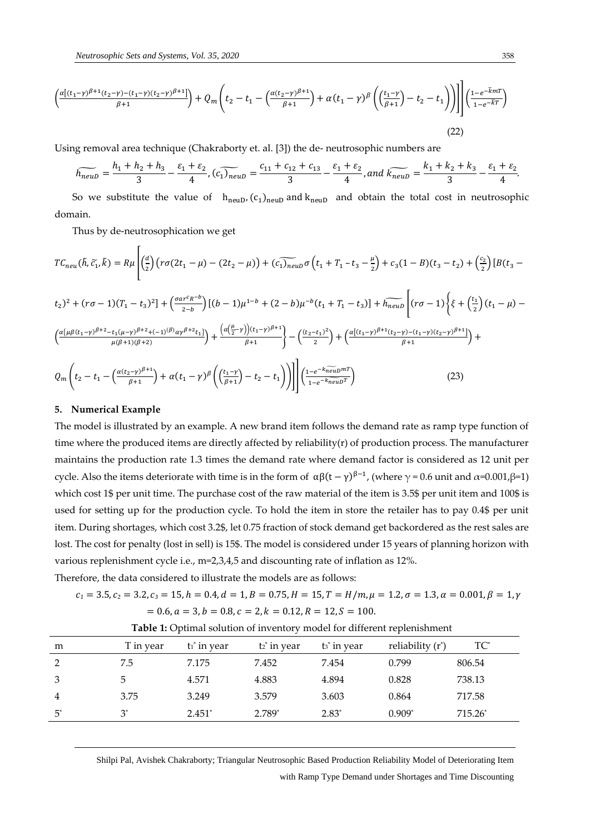$$
\left(\frac{\alpha[(t_1-\gamma)^{\beta+1}(t_2-\gamma)-(t_1-\gamma)(t_2-\gamma)^{\beta+1}]}{\beta+1}\right) + Q_m\left(t_2 - t_1 - \left(\frac{\alpha(t_2-\gamma)^{\beta+1}}{\beta+1}\right) + \alpha(t_1-\gamma)^{\beta}\left(\left(\frac{t_1-\gamma}{\beta+1}\right) - t_2 - t_1\right)\right)\right]\left(\frac{1-e^{-\tilde{k}mT}}{1-e^{-\tilde{k}T}}\right)
$$
\n(22)

Using removal area technique (Chakraborty et. al. [3]) the de- neutrosophic numbers are

$$
\widetilde{h_{newD}} = \frac{h_1 + h_2 + h_3}{3} - \frac{\varepsilon_1 + \varepsilon_2}{4}, \widetilde{(c_1)_{newD}} = \frac{c_{11} + c_{12} + c_{13}}{3} - \frac{\varepsilon_1 + \varepsilon_2}{4}, and \widetilde{k_{newD}} = \frac{k_1 + k_2 + k_3}{3} - \frac{\varepsilon_1 + \varepsilon_2}{4}.
$$

So we substitute the value of  $h_{neuD}$ ,  $(c_1)_{neuD}$  and  $k_{neuD}$  and obtain the total cost in neutrosophic domain.

Thus by de-neutrosophication we get

$$
TC_{neu}(\tilde{h}, \tilde{c}_1, \tilde{k}) = R\mu \left[ \left(\frac{d}{2}\right) \left( r\sigma(2t_1 - \mu) - (2t_2 - \mu) \right) + \left(\widetilde{c_1}_{neu} \sigma \left(t_1 + T_1 - t_3 - \frac{\mu}{2}\right) + c_3(1 - B)(t_3 - t_2) + \left(\frac{c_2}{2}\right) \left[B(t_3 - t_2)^2 + (r\sigma - 1)(T_1 - t_3)^2\right] + \left(\frac{\sigma ar^c R^{-b}}{2 - b}\right) \left[(b - 1)\mu^{1 - b} + (2 - b)\mu^{-b}(t_1 + T_1 - t_3)\right] + \widetilde{h_{neu}} \left[ (r\sigma - 1) \left\{\xi + \left(\frac{t_1}{2}\right)(t_1 - \mu) - \left(\frac{\alpha \left\{\mu \beta(t_1 - \gamma)\beta + 2 - t_1(\mu - \gamma)\beta + 2 + (-1)^{(\beta)}\alpha\gamma\beta + 2t_1\right\}}{\mu(\beta + 1)(\beta + 2)}\right) + \frac{\left(\alpha \left(\frac{\mu}{2} - \gamma\right)\right)(t_1 - \gamma)\beta + 1}{\beta + 1} \right\} - \left(\frac{(t_2 - t_1)^2}{2}\right) + \left(\frac{\alpha \left\{\left(t_1 - \gamma\right)\beta + 1\left(t_2 - \gamma\right) - (t_1 - \gamma)(t_2 - \gamma)\beta + 1\right\}}{\beta + 1}\right) + \frac{\alpha \left\{\left(t_1 - \gamma\right)\beta + 1\right\}}{\beta + 1} + \frac{\alpha \left\{\left(t_1 - \gamma\right)\beta + 1\right\}}{\beta + 1} + \frac{\alpha \left\{\left(t_1 - \gamma\right)\beta + 1\right\}}{\beta + 1} + \frac{\alpha \left\{\left(t_1 - \gamma\right)\beta + 1\right\}}{\beta + 1} + \frac{\alpha \left\{\left(t_1 - \gamma\right)\beta + 1\right\}}{\beta + 1} + \frac{\alpha \left\{\left(t_1 - \gamma\right)\beta + 1\right\}}{\beta + 1} + \frac{\alpha \left\{\left(t_1 - \gamma\right)\beta + 1\right\}}{\beta + 1} + \frac{\alpha \left\{\left(t_1 - \gamma\right)\beta + 1\right\}}{\beta + 1}
$$

$$
Q_m\left(t_2-t_1-\left(\frac{\alpha(t_2-\gamma)^{\beta+1}}{\beta+1}\right)+\alpha(t_1-\gamma)^{\beta}\left(\left(\frac{t_1-\gamma}{\beta+1}\right)-t_2-t_1\right)\right)\right]\left(\frac{1-e^{-k\widetilde{neu}D^mT}}{1-e^{-k\widetilde{neu}D^T}}\right)
$$
(23)

#### **5. Numerical Example**

The model is illustrated by an example. A new brand item follows the demand rate as ramp type function of time where the produced items are directly affected by reliability(r) of production process. The manufacturer maintains the production rate 1.3 times the demand rate where demand factor is considered as 12 unit per cycle. Also the items deteriorate with time is in the form of  $\alpha\beta(t-\gamma)^{\beta-1}$ , (where  $\gamma$  = 0.6 unit and α=0.001,β=1) which cost 1\$ per unit time. The purchase cost of the raw material of the item is 3.5\$ per unit item and 100\$ is used for setting up for the production cycle. To hold the item in store the retailer has to pay 0.4\$ per unit item. During shortages, which cost 3.2\$, let 0.75 fraction of stock demand get backordered as the rest sales are lost. The cost for penalty (lost in sell) is 15\$. The model is considered under 15 years of planning horizon with various replenishment cycle i.e., m=2,3,4,5 and discounting rate of inflation as 12%.

Therefore, the data considered to illustrate the models are as follows:

$$
c_1 = 3.5, c_2 = 3.2, c_3 = 15, h = 0.4, d = 1, B = 0.75, H = 15, T = H/m, \mu = 1.2, \sigma = 1.3, \alpha = 0.001, \beta = 1, \gamma = 0.6, a = 3, b = 0.8, c = 2, k = 0.12, R = 12, S = 100.
$$

| m              | T in year | $t_1$ in vear | t <sub>2</sub> <sup>*</sup> in year | t <sub>3</sub> * in year | reliability $(r^*)$ | $TC^*$    |
|----------------|-----------|---------------|-------------------------------------|--------------------------|---------------------|-----------|
| 2              | 7.5       | 7.175         | 7.452                               | 7.454                    | 0.799               | 806.54    |
| 3              | 5         | 4.571         | 4.883                               | 4.894                    | 0.828               | 738.13    |
| $\overline{4}$ | 3.75      | 3.249         | 3.579                               | 3.603                    | 0.864               | 717.58    |
| $5^*$          | $3^*$     | $2.451*$      | 2.789*                              | $2.83*$                  | $0.909*$            | $715.26*$ |
|                |           |               |                                     |                          |                     |           |

**Table 1:** Optimal solution of inventory model for different replenishment

Shilpi Pal, Avishek Chakraborty; Triangular Neutrosophic Based Production Reliability Model of Deteriorating Item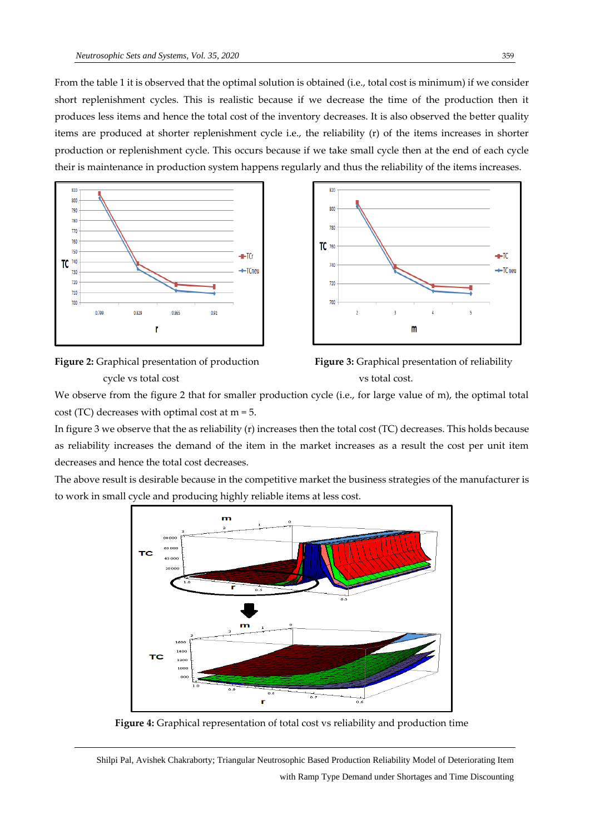From the table 1 it is observed that the optimal solution is obtained (i.e., total cost is minimum) if we consider short replenishment cycles. This is realistic because if we decrease the time of the production then it produces less items and hence the total cost of the inventory decreases. It is also observed the better quality items are produced at shorter replenishment cycle i.e., the reliability (r) of the items increases in shorter production or replenishment cycle. This occurs because if we take small cycle then at the end of each cycle their is maintenance in production system happens regularly and thus the reliability of the items increases.





**Figure 2:** Graphical presentation of production **Figure 3:** Graphical presentation of reliability cycle vs total cost vs total cost.



We observe from the figure 2 that for smaller production cycle (i.e., for large value of m), the optimal total cost (TC) decreases with optimal cost at m = 5.

In figure 3 we observe that the as reliability (r) increases then the total cost (TC) decreases. This holds because as reliability increases the demand of the item in the market increases as a result the cost per unit item decreases and hence the total cost decreases.

The above result is desirable because in the competitive market the business strategies of the manufacturer is to work in small cycle and producing highly reliable items at less cost.



**Figure 4:** Graphical representation of total cost vs reliability and production time

Shilpi Pal, Avishek Chakraborty; Triangular Neutrosophic Based Production Reliability Model of Deteriorating Item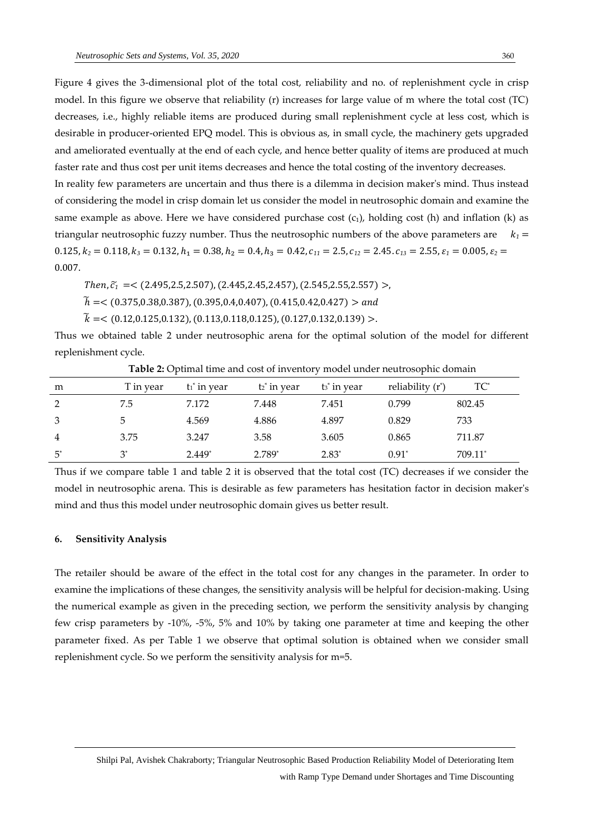Figure 4 gives the 3-dimensional plot of the total cost, reliability and no. of replenishment cycle in crisp model. In this figure we observe that reliability (r) increases for large value of m where the total cost (TC) decreases, i.e., highly reliable items are produced during small replenishment cycle at less cost, which is desirable in producer-oriented EPQ model. This is obvious as, in small cycle, the machinery gets upgraded and ameliorated eventually at the end of each cycle, and hence better quality of items are produced at much faster rate and thus cost per unit items decreases and hence the total costing of the inventory decreases.

In reality few parameters are uncertain and thus there is a dilemma in decision maker's mind. Thus instead of considering the model in crisp domain let us consider the model in neutrosophic domain and examine the same example as above. Here we have considered purchase cost  $(c_1)$ , holding cost (h) and inflation (k) as triangular neutrosophic fuzzy number. Thus the neutrosophic numbers of the above parameters are  *=*  $0.125, k_2 = 0.118, k_3 = 0.132, h_1 = 0.38, h_2 = 0.4, h_3 = 0.42, c_{11} = 2.5, c_{12} = 2.45, c_{13} = 2.55, \varepsilon_1 = 0.005, \varepsilon_2 = 0.005, \varepsilon_3 = 0.005$ 0.007.

*Then,*  $\tilde{c}_1$  =< (2.495,2.5,2.507), (2.445,2.45,2.457), (2.545,2.55,2.557) >,

 $\widetilde{h}$  =< (0.375,0.38,0.387), (0.395,0.4,0.407), (0.415,0.42,0.427) > and

 $\widetilde{k}$  = < (0.12,0.125,0.132), (0.113,0.118,0.125), (0.127,0.132,0.139) >.

Thus we obtained table 2 under neutrosophic arena for the optimal solution of the model for different replenishment cycle.

| m              | T in year | $t_1$ in year | t <sub>2</sub> * in year | t <sub>3</sub> * in year | reliability $(r^*)$ | $TC^*$  |
|----------------|-----------|---------------|--------------------------|--------------------------|---------------------|---------|
| 2              | 7.5       | 7.172         | 7.448                    | 7.451                    | 0.799               | 802.45  |
| 3              |           | 4.569         | 4.886                    | 4.897                    | 0.829               | 733     |
| $\overline{4}$ | 3.75      | 3.247         | 3.58                     | 3.605                    | 0.865               | 711.87  |
| $5^*$          | $2^*$     | $2.449*$      | 2.789*                   | $2.83*$                  | $0.91*$             | 709.11* |

**Table 2:** Optimal time and cost of inventory model under neutrosophic domain

Thus if we compare table 1 and table 2 it is observed that the total cost (TC) decreases if we consider the model in neutrosophic arena. This is desirable as few parameters has hesitation factor in decision maker's mind and thus this model under neutrosophic domain gives us better result.

### **6. Sensitivity Analysis**

The retailer should be aware of the effect in the total cost for any changes in the parameter. In order to examine the implications of these changes, the sensitivity analysis will be helpful for decision-making. Using the numerical example as given in the preceding section, we perform the sensitivity analysis by changing few crisp parameters by -10%, -5%, 5% and 10% by taking one parameter at time and keeping the other parameter fixed. As per Table 1 we observe that optimal solution is obtained when we consider small replenishment cycle. So we perform the sensitivity analysis for m=5.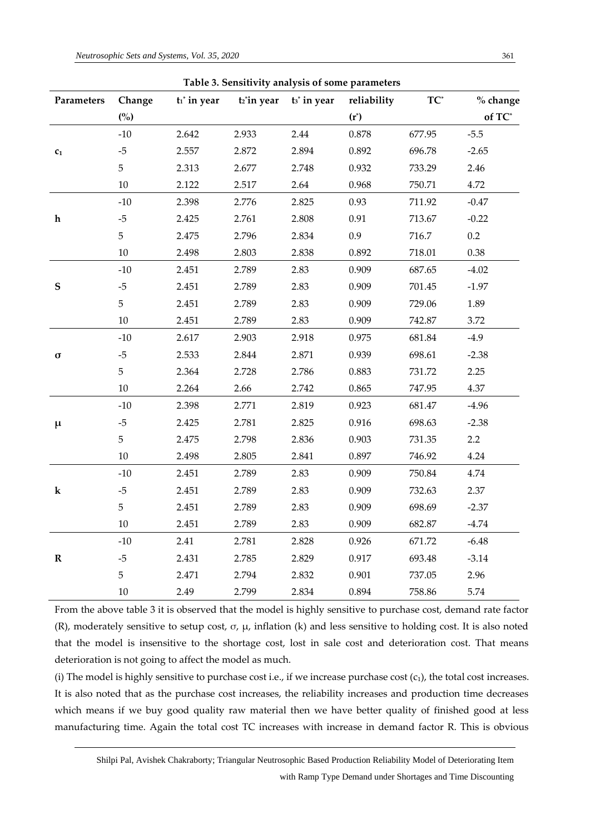| Parameters     | Change | $t_1$ in year | t <sub>2</sub> <sup>*</sup> in year | t <sub>3</sub> in year | Table 5. Sensitivity analysis of some parameters<br>reliability | $TC^*$ | % change |
|----------------|--------|---------------|-------------------------------------|------------------------|-----------------------------------------------------------------|--------|----------|
|                | (%)    |               |                                     |                        | $(r^*)$                                                         |        | of TC*   |
|                | $-10$  | 2.642         | 2.933                               | 2.44                   | 0.878                                                           | 677.95 | $-5.5$   |
| c <sub>1</sub> | $-5$   | 2.557         | 2.872                               | 2.894                  | 0.892                                                           | 696.78 | $-2.65$  |
|                | 5      | 2.313         | 2.677                               | 2.748                  | 0.932                                                           | 733.29 | 2.46     |
|                | 10     | 2.122         | 2.517                               | 2.64                   | 0.968                                                           | 750.71 | 4.72     |
|                | $-10$  | 2.398         | 2.776                               | 2.825                  | 0.93                                                            | 711.92 | $-0.47$  |
| $\mathbf h$    | $-5$   | 2.425         | 2.761                               | 2.808                  | 0.91                                                            | 713.67 | $-0.22$  |
|                | 5      | 2.475         | 2.796                               | 2.834                  | 0.9                                                             | 716.7  | 0.2      |
|                | 10     | 2.498         | 2.803                               | 2.838                  | 0.892                                                           | 718.01 | 0.38     |
|                | $-10$  | 2.451         | 2.789                               | 2.83                   | 0.909                                                           | 687.65 | $-4.02$  |
| ${\mathbf S}$  | $-5$   | 2.451         | 2.789                               | 2.83                   | 0.909                                                           | 701.45 | $-1.97$  |
|                | 5      | 2.451         | 2.789                               | 2.83                   | 0.909                                                           | 729.06 | 1.89     |
|                | 10     | 2.451         | 2.789                               | 2.83                   | 0.909                                                           | 742.87 | 3.72     |
|                | $-10$  | 2.617         | 2.903                               | 2.918                  | 0.975                                                           | 681.84 | $-4.9$   |
| σ              | $-5$   | 2.533         | 2.844                               | 2.871                  | 0.939                                                           | 698.61 | $-2.38$  |
|                | 5      | 2.364         | 2.728                               | 2.786                  | 0.883                                                           | 731.72 | 2.25     |
|                | 10     | 2.264         | 2.66                                | 2.742                  | 0.865                                                           | 747.95 | 4.37     |
|                | $-10$  | 2.398         | 2.771                               | 2.819                  | 0.923                                                           | 681.47 | $-4.96$  |
| $\mu$          | $-5$   | 2.425         | 2.781                               | 2.825                  | 0.916                                                           | 698.63 | $-2.38$  |
|                | 5      | 2.475         | 2.798                               | 2.836                  | 0.903                                                           | 731.35 | 2.2      |
|                | 10     | 2.498         | 2.805                               | 2.841                  | 0.897                                                           | 746.92 | 4.24     |
|                | $-10$  | 2.451         | 2.789                               | 2.83                   | 0.909                                                           | 750.84 | 4.74     |
| ${\bf k}$      | $-5$   | 2.451         | 2.789                               | 2.83                   | 0.909                                                           | 732.63 | 2.37     |
|                | 5      | 2.451         | 2.789                               | 2.83                   | 0.909                                                           | 698.69 | $-2.37$  |
|                | 10     | 2.451         | 2.789                               | 2.83                   | 0.909                                                           | 682.87 | $-4.74$  |
|                | $-10$  | 2.41          | 2.781                               | 2.828                  | 0.926                                                           | 671.72 | $-6.48$  |
| ${\bf R}$      | $-5$   | 2.431         | 2.785                               | 2.829                  | 0.917                                                           | 693.48 | $-3.14$  |
|                | 5      | 2.471         | 2.794                               | 2.832                  | 0.901                                                           | 737.05 | 2.96     |
|                | $10\,$ | 2.49          | 2.799                               | 2.834                  | 0.894                                                           | 758.86 | 5.74     |

**Table 3. Sensitivity analysis of some parameters**

From the above table 3 it is observed that the model is highly sensitive to purchase cost, demand rate factor (R), moderately sensitive to setup cost,  $\sigma$ ,  $\mu$ , inflation (k) and less sensitive to holding cost. It is also noted that the model is insensitive to the shortage cost, lost in sale cost and deterioration cost. That means deterioration is not going to affect the model as much.

(i) The model is highly sensitive to purchase cost i.e., if we increase purchase cost  $(c_1)$ , the total cost increases. It is also noted that as the purchase cost increases, the reliability increases and production time decreases which means if we buy good quality raw material then we have better quality of finished good at less manufacturing time. Again the total cost TC increases with increase in demand factor R. This is obvious

Shilpi Pal, Avishek Chakraborty; Triangular Neutrosophic Based Production Reliability Model of Deteriorating Item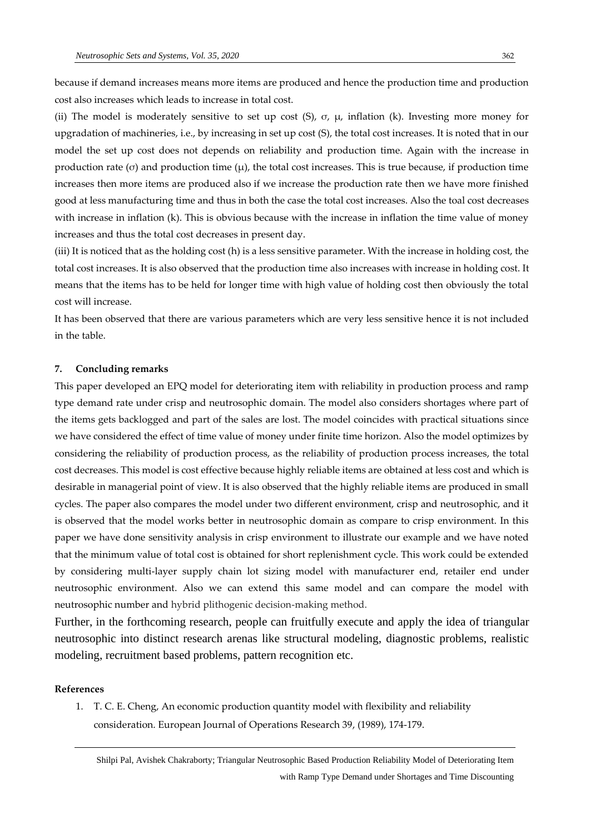because if demand increases means more items are produced and hence the production time and production cost also increases which leads to increase in total cost.

(ii) The model is moderately sensitive to set up cost (S),  $\sigma$ ,  $\mu$ , inflation (k). Investing more money for upgradation of machineries, i.e., by increasing in set up cost (S), the total cost increases. It is noted that in our model the set up cost does not depends on reliability and production time. Again with the increase in production rate (σ) and production time  $(\mu)$ , the total cost increases. This is true because, if production time increases then more items are produced also if we increase the production rate then we have more finished good at less manufacturing time and thus in both the case the total cost increases. Also the toal cost decreases with increase in inflation (k). This is obvious because with the increase in inflation the time value of money increases and thus the total cost decreases in present day.

(iii) It is noticed that as the holding cost (h) is a less sensitive parameter. With the increase in holding cost, the total cost increases. It is also observed that the production time also increases with increase in holding cost. It means that the items has to be held for longer time with high value of holding cost then obviously the total cost will increase.

It has been observed that there are various parameters which are very less sensitive hence it is not included in the table.

#### **7. Concluding remarks**

This paper developed an EPQ model for deteriorating item with reliability in production process and ramp type demand rate under crisp and neutrosophic domain. The model also considers shortages where part of the items gets backlogged and part of the sales are lost. The model coincides with practical situations since we have considered the effect of time value of money under finite time horizon. Also the model optimizes by considering the reliability of production process, as the reliability of production process increases, the total cost decreases. This model is cost effective because highly reliable items are obtained at less cost and which is desirable in managerial point of view. It is also observed that the highly reliable items are produced in small cycles. The paper also compares the model under two different environment, crisp and neutrosophic, and it is observed that the model works better in neutrosophic domain as compare to crisp environment. In this paper we have done sensitivity analysis in crisp environment to illustrate our example and we have noted that the minimum value of total cost is obtained for short replenishment cycle. This work could be extended by considering multi-layer supply chain lot sizing model with manufacturer end, retailer end under neutrosophic environment. Also we can extend this same model and can compare the model with neutrosophic number and hybrid plithogenic decision-making method.

Further, in the forthcoming research, people can fruitfully execute and apply the idea of triangular neutrosophic into distinct research arenas like structural modeling, diagnostic problems, realistic modeling, recruitment based problems, pattern recognition etc.

#### **References**

1. T. C. E. Cheng, An economic production quantity model with flexibility and reliability consideration. European Journal of Operations Research 39, (1989), 174-179.

Shilpi Pal, Avishek Chakraborty; Triangular Neutrosophic Based Production Reliability Model of Deteriorating Item with Ramp Type Demand under Shortages and Time Discounting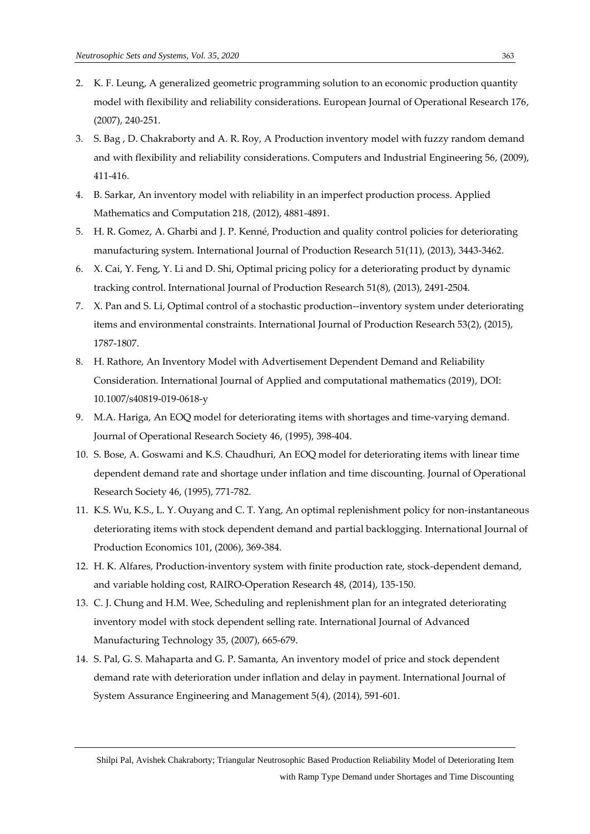- 2. K. F. Leung, A generalized geometric programming solution to an economic production quantity model with flexibility and reliability considerations. European Journal of Operational Research 176, (2007), 240-251.
- 3. S. Bag , D. Chakraborty and A. R. Roy, A Production inventory model with fuzzy random demand and with flexibility and reliability considerations. Computers and Industrial Engineering 56, (2009), 411-416.
- 4. B. Sarkar, An inventory model with reliability in an imperfect production process. Applied Mathematics and Computation 218, (2012), 4881-4891.
- 5. H. R. Gomez, A. Gharbi and J. P. Kenné, Production and quality control policies for deteriorating manufacturing system. International Journal of Production Research 51(11), (2013), 3443-3462.
- 6. X. Cai, Y. Feng, Y. Li and D. Shi, Optimal pricing policy for a deteriorating product by dynamic tracking control. International Journal of Production Research 51(8), (2013), 2491-2504.
- 7. X. Pan and S. Li, Optimal control of a stochastic production--inventory system under deteriorating items and environmental constraints. International Journal of Production Research 53(2), (2015), 1787-1807.
- 8. H. Rathore, An Inventory Model with Advertisement Dependent Demand and Reliability Consideration. International Journal of Applied and computational mathematics (2019), DOI: 10.1007/s40819-019-0618-y
- 9. M.A. Hariga, An EOQ model for deteriorating items with shortages and time-varying demand. Journal of Operational Research Society 46, (1995), 398-404.
- 10. S. Bose, A. Goswami and K.S. Chaudhuri, An EOQ model for deteriorating items with linear time dependent demand rate and shortage under inflation and time discounting. Journal of Operational Research Society 46, (1995), 771-782.
- 11. K.S. Wu, K.S., L. Y. Ouyang and C. T. Yang, An optimal replenishment policy for non-instantaneous deteriorating items with stock dependent demand and partial backlogging. International Journal of Production Economics 101, (2006), 369-384.
- 12. H. K. Alfares, Production-inventory system with finite production rate, stock-dependent demand, and variable holding cost, RAIRO-Operation Research 48, (2014), 135-150.
- 13. C. J. Chung and H.M. Wee, Scheduling and replenishment plan for an integrated deteriorating inventory model with stock dependent selling rate. International Journal of Advanced Manufacturing Technology 35, (2007), 665-679.
- 14. S. Pal, G. S. Mahaparta and G. P. Samanta, An inventory model of price and stock dependent demand rate with deterioration under inflation and delay in payment. International Journal of System Assurance Engineering and Management 5(4), (2014), 591-601.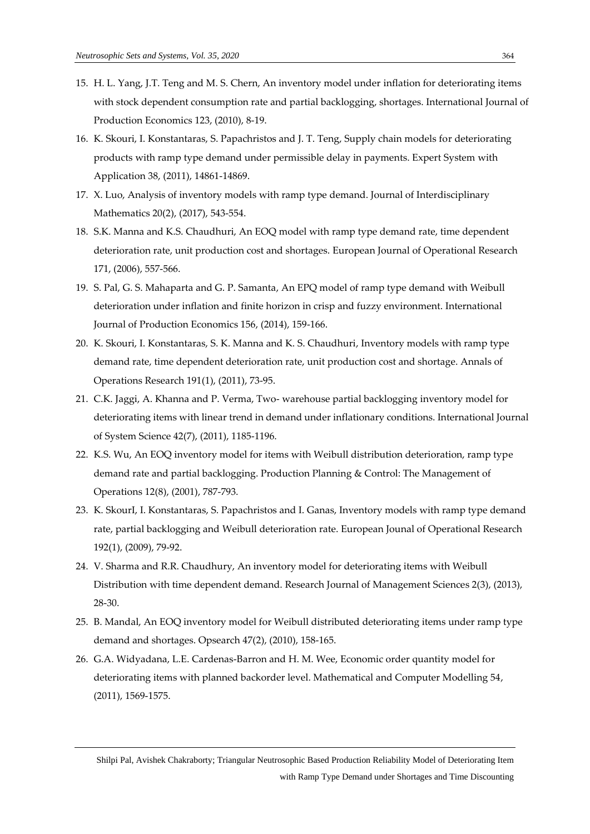- 15. H. L. Yang, J.T. Teng and M. S. Chern, An inventory model under inflation for deteriorating items with stock dependent consumption rate and partial backlogging, shortages. International Journal of Production Economics 123, (2010), 8-19.
- 16. K. Skouri, I. Konstantaras, S. Papachristos and J. T. Teng, Supply chain models for deteriorating products with ramp type demand under permissible delay in payments. Expert System with Application 38, (2011), 14861-14869.
- 17. X. Luo, Analysis of inventory models with ramp type demand. Journal of Interdisciplinary Mathematics 20(2), (2017), 543-554.
- 18. S.K. Manna and K.S. Chaudhuri, An EOQ model with ramp type demand rate, time dependent deterioration rate, unit production cost and shortages. European Journal of Operational Research 171, (2006), 557-566.
- 19. S. Pal, G. S. Mahaparta and G. P. Samanta, An EPQ model of ramp type demand with Weibull deterioration under inflation and finite horizon in crisp and fuzzy environment. International Journal of Production Economics 156, (2014), 159-166.
- 20. K. Skouri, I. Konstantaras, S. K. Manna and K. S. Chaudhuri, Inventory models with ramp type demand rate, time dependent deterioration rate, unit production cost and shortage. Annals of Operations Research 191(1), (2011), 73-95.
- 21. C.K. Jaggi, A. Khanna and P. Verma, Two- warehouse partial backlogging inventory model for deteriorating items with linear trend in demand under inflationary conditions. International Journal of System Science 42(7), (2011), 1185-1196.
- 22. K.S. Wu, An EOQ inventory model for items with Weibull distribution deterioration, ramp type demand rate and partial backlogging. Production Planning & Control: The Management of Operations 12(8), (2001), 787-793.
- 23. K. SkourI, I. Konstantaras, S. Papachristos and I. Ganas, Inventory models with ramp type demand rate, partial backlogging and Weibull deterioration rate. European Jounal of Operational Research 192(1), (2009), 79-92.
- 24. V. Sharma and R.R. Chaudhury, An inventory model for deteriorating items with Weibull Distribution with time dependent demand. Research Journal of Management Sciences 2(3), (2013), 28-30.
- 25. B. Mandal, An EOQ inventory model for Weibull distributed deteriorating items under ramp type demand and shortages. Opsearch 47(2), (2010), 158-165.
- 26. G.A. Widyadana, L.E. Cardenas-Barron and H. M. Wee, Economic order quantity model for deteriorating items with planned backorder level. Mathematical and Computer Modelling 54, (2011), 1569-1575.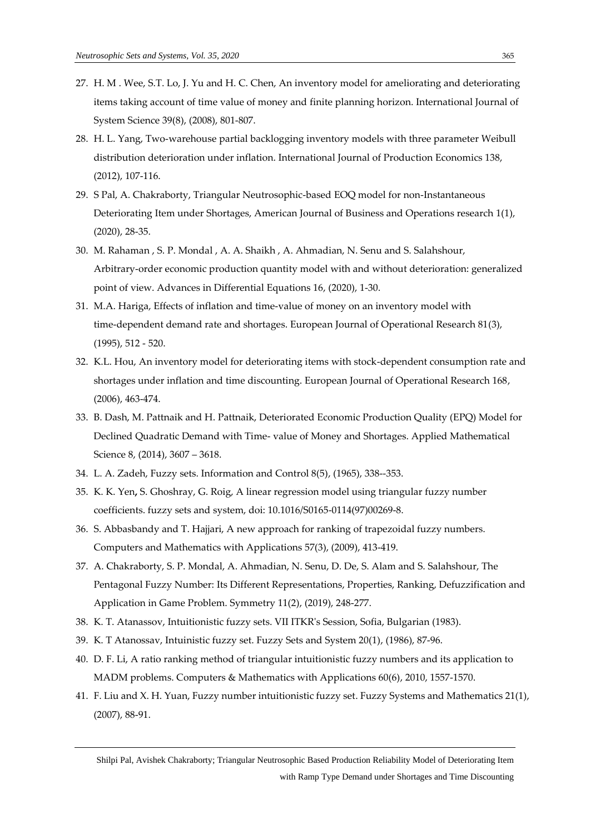- 27. H. M . Wee, S.T. Lo, J. Yu and H. C. Chen, An inventory model for ameliorating and deteriorating items taking account of time value of money and finite planning horizon. International Journal of System Science 39(8), (2008), 801-807.
- 28. H. L. Yang, Two-warehouse partial backlogging inventory models with three parameter Weibull distribution deterioration under inflation. International Journal of Production Economics 138, (2012), 107-116.
- 29. S Pal, A. Chakraborty, Triangular Neutrosophic-based EOQ model for non-Instantaneous Deteriorating Item under Shortages, American Journal of Business and Operations research 1(1), (2020), 28-35.
- 30. M. Rahaman , S. P. Mondal , A. A. Shaikh , A. Ahmadian, N. Senu and S. Salahshour, Arbitrary-order economic production quantity model with and without deterioration: generalized point of view. Advances in Differential Equations 16, (2020), 1-30.
- 31. M.A. Hariga, Effects of inflation and time-value of money on an inventory model with time-dependent demand rate and shortages. European Journal of Operational Research 81(3), (1995), 512 - 520.
- 32. K.L. Hou, An inventory model for deteriorating items with stock-dependent consumption rate and shortages under inflation and time discounting. European Journal of Operational Research 168, (2006), 463-474.
- 33. B. Dash, M. Pattnaik and H. Pattnaik, Deteriorated Economic Production Quality (EPQ) Model for Declined Quadratic Demand with Time- value of Money and Shortages. Applied Mathematical Science 8, (2014), 3607 – 3618.
- 34. L. A. Zadeh, Fuzzy sets. Information and Control 8(5), (1965), 338--353.
- 35. K. K. Yen**,** S. Ghoshray, G. Roig, A linear regression model using triangular fuzzy number coefficients. fuzzy sets and system, doi: 10.1016/S0165-0114(97)00269-8.
- 36. S. Abbasbandy and T. Hajjari, A new approach for ranking of trapezoidal fuzzy numbers. Computers and Mathematics with Applications 57(3), (2009), 413-419.
- 37. A. Chakraborty, S. P. Mondal, A. Ahmadian, N. Senu, D. De, S. Alam and S. Salahshour, The Pentagonal Fuzzy Number: Its Different Representations, Properties, Ranking, Defuzzification and Application in Game Problem. Symmetry 11(2), (2019), 248-277.
- 38. K. T. Atanassov, Intuitionistic fuzzy sets. VII ITKR's Session, Sofia, Bulgarian (1983).
- 39. K. T Atanossav, Intuinistic fuzzy set. Fuzzy Sets and System 20(1), (1986), 87-96.
- 40. D. F. Li, A ratio ranking method of triangular intuitionistic fuzzy numbers and its application to MADM problems. Computers & Mathematics with Applications 60(6), 2010, 1557-1570.
- 41. F. Liu and X. H. Yuan, Fuzzy number intuitionistic fuzzy set. Fuzzy Systems and Mathematics 21(1), (2007), 88-91.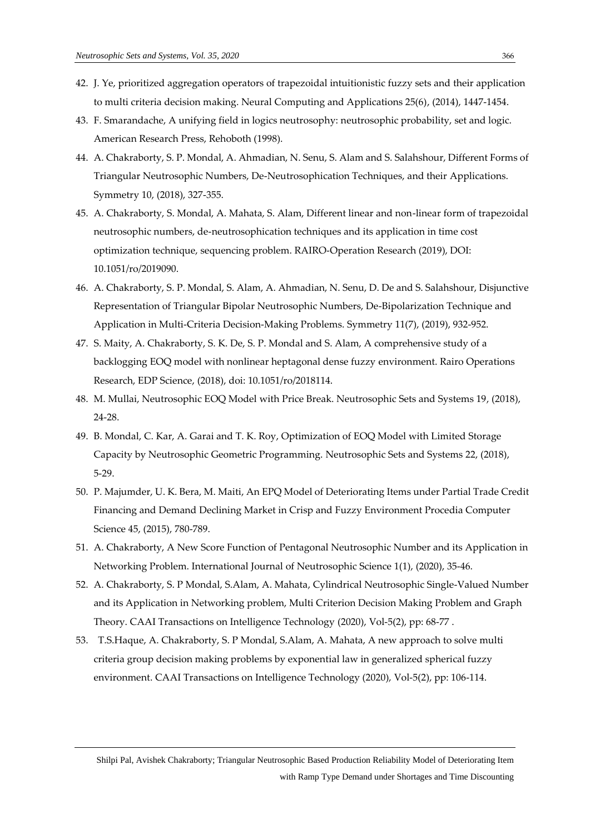- 42. J. Ye, prioritized aggregation operators of trapezoidal intuitionistic fuzzy sets and their application to multi criteria decision making. Neural Computing and Applications 25(6), (2014), 1447-1454.
- 43. F. Smarandache, A unifying field in logics neutrosophy: neutrosophic probability, set and logic. American Research Press, Rehoboth (1998).
- 44. A. Chakraborty, S. P. Mondal, A. Ahmadian, N. Senu, S. Alam and S. Salahshour, Different Forms of Triangular Neutrosophic Numbers, De-Neutrosophication Techniques, and their Applications. Symmetry 10, (2018), 327-355.
- 45. A. Chakraborty, S. Mondal, A. Mahata, S. Alam, Different linear and non-linear form of trapezoidal neutrosophic numbers, de-neutrosophication techniques and its application in time cost optimization technique, sequencing problem. RAIRO-Operation Research (2019), DOI: 10.1051/ro/2019090.
- 46. A. Chakraborty, S. P. Mondal, S. Alam, A. Ahmadian, N. Senu, D. De and S. Salahshour, Disjunctive Representation of Triangular Bipolar Neutrosophic Numbers, De-Bipolarization Technique and Application in Multi-Criteria Decision-Making Problems. Symmetry 11(7), (2019), 932-952.
- 47. S. Maity, A. Chakraborty, S. K. De, S. P. Mondal and S. Alam, A comprehensive study of a backlogging EOQ model with nonlinear heptagonal dense fuzzy environment. Rairo Operations Research, EDP Science, (2018), doi: 10.1051/ro/2018114.
- 48. M. Mullai, Neutrosophic EOQ Model with Price Break. Neutrosophic Sets and Systems 19, (2018), 24-28.
- 49. B. Mondal, C. Kar, A. Garai and T. K. Roy, Optimization of EOQ Model with Limited Storage Capacity by Neutrosophic Geometric Programming. Neutrosophic Sets and Systems 22, (2018), 5-29.
- 50. P. Majumder, U. K. Bera, M. Maiti, An EPQ Model of Deteriorating Items under Partial Trade Credit Financing and Demand Declining Market in Crisp and Fuzzy Environment Procedia Computer Science 45, (2015), 780-789.
- 51. A. Chakraborty, A New Score Function of Pentagonal Neutrosophic Number and its Application in Networking Problem. International Journal of Neutrosophic Science 1(1), (2020), 35-46.
- 52. A. Chakraborty, S. P Mondal, S.Alam, A. Mahata, Cylindrical Neutrosophic Single-Valued Number and its Application in Networking problem, Multi Criterion Decision Making Problem and Graph Theory. CAAI Transactions on Intelligence Technology (2020), Vol-5(2), pp: 68-77 .
- 53. T.S.Haque, A. Chakraborty, S. P Mondal, S.Alam, A. Mahata, A new approach to solve multi criteria group decision making problems by exponential law in generalized spherical fuzzy environment. CAAI Transactions on Intelligence Technology (2020), Vol-5(2), pp: 106-114.